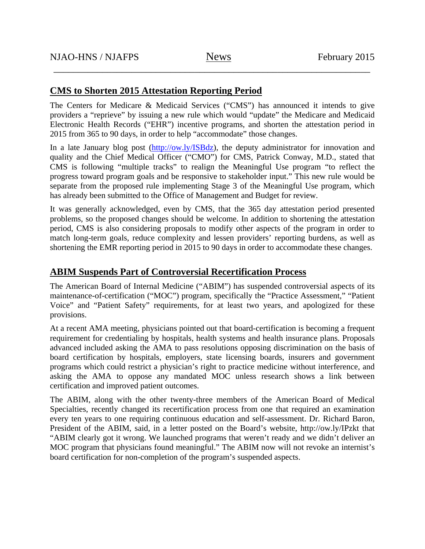\_\_\_\_\_\_\_\_\_\_\_\_\_\_\_\_\_\_\_\_\_\_\_\_\_\_\_\_\_\_\_\_\_\_\_\_\_\_\_\_\_\_\_\_\_\_\_\_\_\_\_\_\_\_\_\_\_\_\_\_\_\_\_\_\_

## **CMS to Shorten 2015 Attestation Reporting Period**

The Centers for Medicare & Medicaid Services ("CMS") has announced it intends to give providers a "reprieve" by issuing a new rule which would "update" the Medicare and Medicaid Electronic Health Records ("EHR") incentive programs, and shorten the attestation period in 2015 from 365 to 90 days, in order to help "accommodate" those changes.

In a late January blog post (http://ow.ly/ISBdz), the deputy administrator for innovation and quality and the Chief Medical Officer ("CMO") for CMS, Patrick Conway, M.D., stated that CMS is following "multiple tracks" to realign the Meaningful Use program "to reflect the progress toward program goals and be responsive to stakeholder input." This new rule would be separate from the proposed rule implementing Stage 3 of the Meaningful Use program, which has already been submitted to the Office of Management and Budget for review.

It was generally acknowledged, even by CMS, that the 365 day attestation period presented problems, so the proposed changes should be welcome. In addition to shortening the attestation period, CMS is also considering proposals to modify other aspects of the program in order to match long-term goals, reduce complexity and lessen providers' reporting burdens, as well as shortening the EMR reporting period in 2015 to 90 days in order to accommodate these changes.

## **ABIM Suspends Part of Controversial Recertification Process**

The American Board of Internal Medicine ("ABIM") has suspended controversial aspects of its maintenance-of-certification ("MOC") program, specifically the "Practice Assessment," "Patient Voice" and "Patient Safety" requirements, for at least two years, and apologized for these provisions.

At a recent AMA meeting, physicians pointed out that board-certification is becoming a frequent requirement for credentialing by hospitals, health systems and health insurance plans. Proposals advanced included asking the AMA to pass resolutions opposing discrimination on the basis of board certification by hospitals, employers, state licensing boards, insurers and government programs which could restrict a physician's right to practice medicine without interference, and asking the AMA to oppose any mandated MOC unless research shows a link between certification and improved patient outcomes.

The ABIM, along with the other twenty-three members of the American Board of Medical Specialties, recently changed its recertification process from one that required an examination every ten years to one requiring continuous education and self-assessment. Dr. Richard Baron, President of the ABIM, said, in a letter posted on the Board's website, http://ow.ly/IPzkt that "ABIM clearly got it wrong. We launched programs that weren't ready and we didn't deliver an MOC program that physicians found meaningful." The ABIM now will not revoke an internist's board certification for non-completion of the program's suspended aspects.